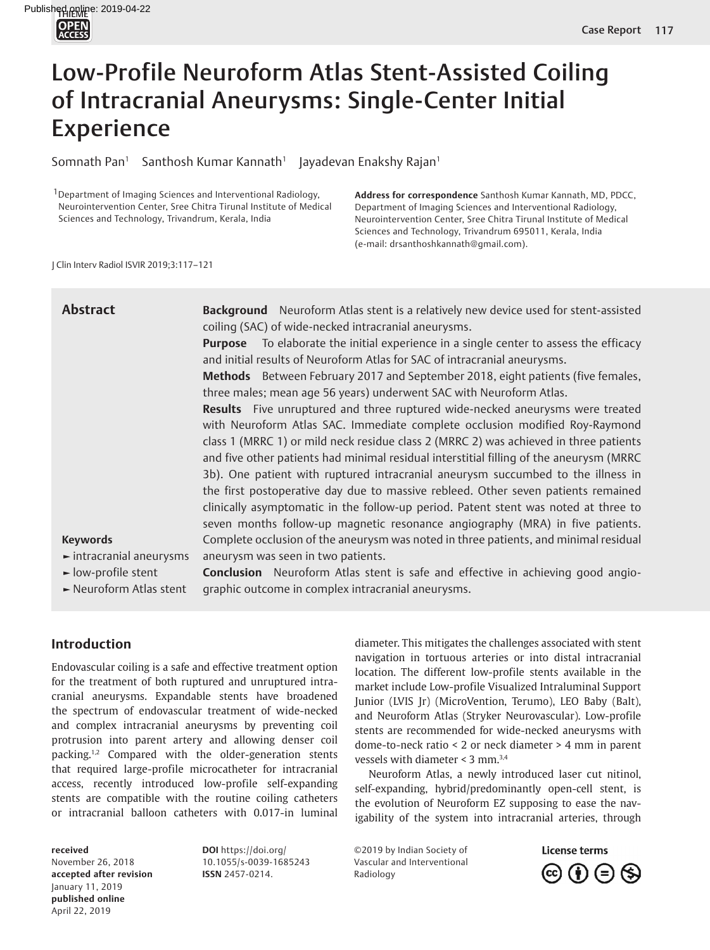# Low-Profile Neuroform Atlas Stent-Assisted Coiling of Intracranial Aneurysms: Single-Center Initial Experience

Somnath Pan<sup>1</sup> Santhosh Kumar Kannath<sup>1</sup> Jayadevan Enakshy Rajan<sup>1</sup>

<sup>1</sup> Department of Imaging Sciences and Interventional Radiology, Neurointervention Center, Sree Chitra Tirunal Institute of Medical Sciences and Technology, Trivandrum, Kerala, India

**Address for correspondence** Santhosh Kumar Kannath, MD, PDCC, Department of Imaging Sciences and Interventional Radiology, Neurointervention Center, Sree Chitra Tirunal Institute of Medical Sciences and Technology, Trivandrum 695011, Kerala, India (e-mail: drsanthoshkannath@gmail.com).

J Clin Interv Radiol ISVIR 2019;3:117–121

| <b>Abstract</b>                              | Background Neuroform Atlas stent is a relatively new device used for stent-assisted<br>coiling (SAC) of wide-necked intracranial aneurysms. |  |  |  |  |  |  |  |
|----------------------------------------------|---------------------------------------------------------------------------------------------------------------------------------------------|--|--|--|--|--|--|--|
|                                              | <b>Purpose</b> To elaborate the initial experience in a single center to assess the efficacy                                                |  |  |  |  |  |  |  |
|                                              | and initial results of Neuroform Atlas for SAC of intracranial aneurysms.                                                                   |  |  |  |  |  |  |  |
|                                              | <b>Methods</b> Between February 2017 and September 2018, eight patients (five females,                                                      |  |  |  |  |  |  |  |
|                                              | three males; mean age 56 years) underwent SAC with Neuroform Atlas.                                                                         |  |  |  |  |  |  |  |
|                                              | Results Five unruptured and three ruptured wide-necked aneurysms were treated                                                               |  |  |  |  |  |  |  |
|                                              | with Neuroform Atlas SAC. Immediate complete occlusion modified Roy-Raymond                                                                 |  |  |  |  |  |  |  |
|                                              | class 1 (MRRC 1) or mild neck residue class 2 (MRRC 2) was achieved in three patients                                                       |  |  |  |  |  |  |  |
|                                              | and five other patients had minimal residual interstitial filling of the aneurysm (MRRC                                                     |  |  |  |  |  |  |  |
|                                              | 3b). One patient with ruptured intracranial aneurysm succumbed to the illness in                                                            |  |  |  |  |  |  |  |
|                                              | the first postoperative day due to massive rebleed. Other seven patients remained                                                           |  |  |  |  |  |  |  |
|                                              | clinically asymptomatic in the follow-up period. Patent stent was noted at three to                                                         |  |  |  |  |  |  |  |
|                                              | seven months follow-up magnetic resonance angiography (MRA) in five patients.                                                               |  |  |  |  |  |  |  |
| <b>Keywords</b>                              | Complete occlusion of the aneurysm was noted in three patients, and minimal residual                                                        |  |  |  |  |  |  |  |
| $\blacktriangleright$ intracranial aneurysms | aneurysm was seen in two patients.                                                                                                          |  |  |  |  |  |  |  |
| $\blacktriangleright$ low-profile stent      | <b>Conclusion</b> Neuroform Atlas stent is safe and effective in achieving good angio-                                                      |  |  |  |  |  |  |  |
| Neuroform Atlas stent                        | graphic outcome in complex intracranial aneurysms.                                                                                          |  |  |  |  |  |  |  |

# **Introduction**

<span id="page-0-0"></span>Endovascular coiling is a safe and effective treatment option for the treatment of both ruptured and unruptured intracranial aneurysms. Expandable stents have broadened the spectrum of endovascular treatment of wide-necked and complex intracranial aneurysms by preventing coil protrusion into parent artery and allowing denser coil packing[.1](#page-4-0)[,2](#page-4-1) Compared with the older-generation stents that required large-profile microcatheter for intracranial access, recently introduced low-profile self-expanding stents are compatible with the routine coiling catheters or intracranial balloon catheters with 0.017-in luminal

#### **received**

November 26, 2018 **accepted after revision**  January 11, 2019 **published online** April 22, 2019

<span id="page-0-1"></span>**DOI** https://doi.org/ 10.1055/s-0039-1685243 **ISSN** 2457-0214.

diameter. This mitigates the challenges associated with stent navigation in tortuous arteries or into distal intracranial location. The different low-profile stents available in the market include Low-profile Visualized Intraluminal Support Junior (LVIS Jr) (MicroVention, Terumo), LEO Baby (Balt), and Neuroform Atlas (Stryker Neurovascular). Low-profile stents are recommended for wide-necked aneurysms with dome-to-neck ratio < 2 or neck diameter > 4 mm in parent vessels with diameter  $<$  [3](#page-4-2) mm.<sup>3,[4](#page-4-3)</sup>

<span id="page-0-2"></span>Neuroform Atlas, a newly introduced laser cut nitinol, self-expanding, hybrid/predominantly open-cell stent, is the evolution of Neuroform EZ supposing to ease the navigability of the system into intracranial arteries, through

©2019 by Indian Society of Vascular and Interventional Radiology

<span id="page-0-3"></span>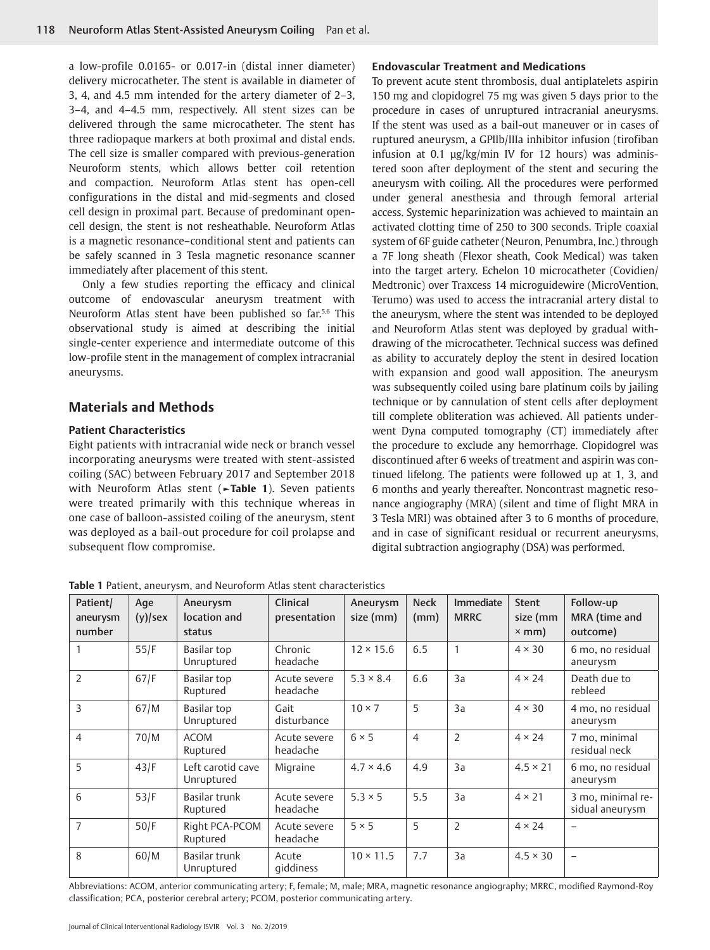a low-profile 0.0165- or 0.017-in (distal inner diameter) delivery microcatheter. The stent is available in diameter of 3, 4, and 4.5 mm intended for the artery diameter of 2–3, 3–4, and 4–4.5 mm, respectively. All stent sizes can be delivered through the same microcatheter. The stent has three radiopaque markers at both proximal and distal ends. The cell size is smaller compared with previous-generation Neuroform stents, which allows better coil retention and compaction. Neuroform Atlas stent has open-cell configurations in the distal and mid-segments and closed cell design in proximal part. Because of predominant opencell design, the stent is not resheathable. Neuroform Atlas is a magnetic resonance–conditional stent and patients can be safely scanned in 3 Tesla magnetic resonance scanner immediately after placement of this stent.

<span id="page-1-1"></span>Only a few studies reporting the efficacy and clinical outcome of endovascular aneurysm treatment with Neuroform Atlas stent have been published so far[.5,](#page-4-4)[6](#page-4-5) This observational study is aimed at describing the initial single-center experience and intermediate outcome of this low-profile stent in the management of complex intracranial aneurysms.

## **Materials and Methods**

#### **Patient Characteristics**

Eight patients with intracranial wide neck or branch vessel incorporating aneurysms were treated with stent-assisted coiling (SAC) between February 2017 and September 2018 with Neuroform Atlas stent (**[►Table 1](#page-1-0)**). Seven patients were treated primarily with this technique whereas in one case of balloon-assisted coiling of the aneurysm, stent was deployed as a bail-out procedure for coil prolapse and subsequent flow compromise.

#### **Endovascular Treatment and Medications**

<span id="page-1-2"></span>To prevent acute stent thrombosis, dual antiplatelets aspirin 150 mg and clopidogrel 75 mg was given 5 days prior to the procedure in cases of unruptured intracranial aneurysms. If the stent was used as a bail-out maneuver or in cases of ruptured aneurysm, a GPIIb/IIIa inhibitor infusion (tirofiban infusion at 0.1 µg/kg/min IV for 12 hours) was administered soon after deployment of the stent and securing the aneurysm with coiling. All the procedures were performed under general anesthesia and through femoral arterial access. Systemic heparinization was achieved to maintain an activated clotting time of 250 to 300 seconds. Triple coaxial system of 6F guide catheter (Neuron, Penumbra, Inc.) through a 7F long sheath (Flexor sheath, Cook Medical) was taken into the target artery. Echelon 10 microcatheter (Covidien/ Medtronic) over Traxcess 14 microguidewire (MicroVention, Terumo) was used to access the intracranial artery distal to the aneurysm, where the stent was intended to be deployed and Neuroform Atlas stent was deployed by gradual withdrawing of the microcatheter. Technical success was defined as ability to accurately deploy the stent in desired location with expansion and good wall apposition. The aneurysm was subsequently coiled using bare platinum coils by jailing technique or by cannulation of stent cells after deployment till complete obliteration was achieved. All patients underwent Dyna computed tomography (CT) immediately after the procedure to exclude any hemorrhage. Clopidogrel was discontinued after 6 weeks of treatment and aspirin was continued lifelong. The patients were followed up at 1, 3, and 6 months and yearly thereafter. Noncontrast magnetic resonance angiography (MRA) (silent and time of flight MRA in 3 Tesla MRI) was obtained after 3 to 6 months of procedure, and in case of significant residual or recurrent aneurysms, digital subtraction angiography (DSA) was performed.

| Patient/<br>aneurysm<br>number | Age<br>$(y)$ /sex | Aneurysm<br>location and<br>status | Clinical<br>presentation | Aneurysm<br>size (mm) | <b>Neck</b><br>(mm) | <b>Immediate</b><br><b>MRRC</b> | <b>Stent</b><br>size (mm<br>$\times$ mm) | Follow-up<br>MRA (time and<br>outcome) |
|--------------------------------|-------------------|------------------------------------|--------------------------|-----------------------|---------------------|---------------------------------|------------------------------------------|----------------------------------------|
|                                | 55/F              | Basilar top<br>Unruptured          | Chronic<br>headache      | $12 \times 15.6$      | 6.5                 | 1                               | $4 \times 30$                            | 6 mo, no residual<br>aneurysm          |
| $\overline{2}$                 | 67/F              | Basilar top<br>Ruptured            | Acute severe<br>headache | $5.3 \times 8.4$      | 6.6                 | 3a                              | $4 \times 24$                            | Death due to<br>rebleed                |
| 3                              | 67/M              | Basilar top<br>Unruptured          | Gait<br>disturbance      | $10 \times 7$         | 5                   | 3a                              | $4 \times 30$                            | 4 mo, no residual<br>aneurysm          |
| $\overline{4}$                 | 70/M              | <b>ACOM</b><br>Ruptured            | Acute severe<br>headache | $6 \times 5$          | $\overline{4}$      | $\overline{2}$                  | $4 \times 24$                            | 7 mo, minimal<br>residual neck         |
| 5                              | 43/F              | Left carotid cave<br>Unruptured    | Migraine                 | $4.7 \times 4.6$      | 4.9                 | 3a                              | $4.5 \times 21$                          | 6 mo, no residual<br>aneurysm          |
| 6                              | 53/F              | Basilar trunk<br>Ruptured          | Acute severe<br>headache | $5.3 \times 5$        | 5.5                 | 3a                              | $4 \times 21$                            | 3 mo, minimal re-<br>sidual aneurysm   |
| $\overline{7}$                 | 50/F              | Right PCA-PCOM<br>Ruptured         | Acute severe<br>headache | $5 \times 5$          | 5                   | $\overline{2}$                  | $4 \times 24$                            |                                        |
| 8                              | 60/M              | Basilar trunk<br>Unruptured        | Acute<br>qiddiness       | $10 \times 11.5$      | 7.7                 | 3a                              | $4.5 \times 30$                          | $\overline{\phantom{0}}$               |

<span id="page-1-0"></span>**Table 1** Patient, aneurysm, and Neuroform Atlas stent characteristics

Abbreviations: ACOM, anterior communicating artery; F, female; M, male; MRA, magnetic resonance angiography; MRRC, modified Raymond-Roy classification; PCA, posterior cerebral artery; PCOM, posterior communicating artery.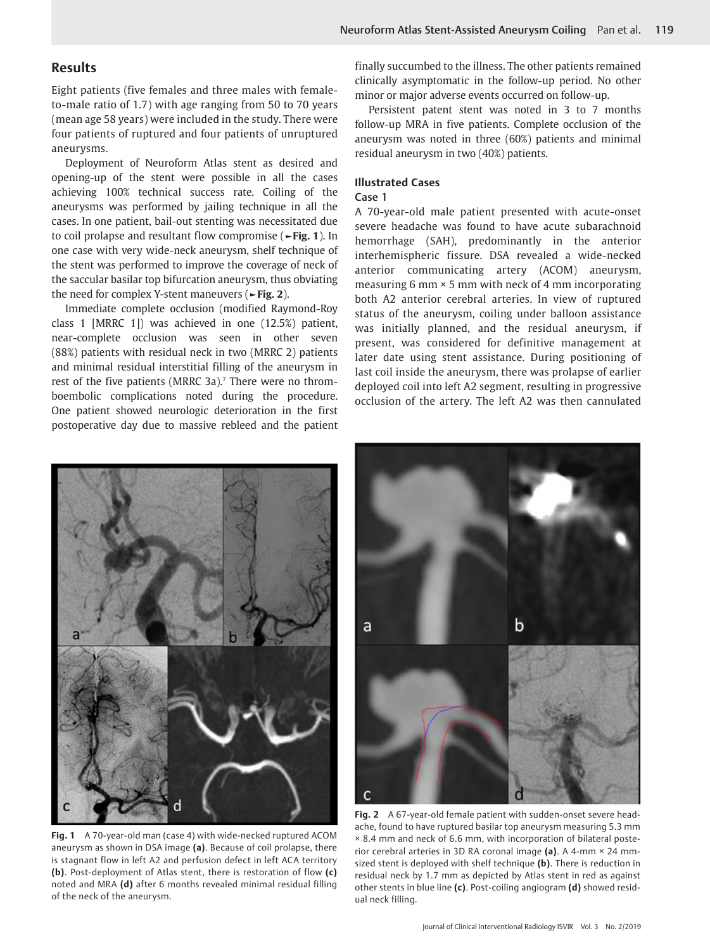# **Results**

Eight patients (five females and three males with femaleto-male ratio of 1.7) with age ranging from 50 to 70 years (mean age 58 years) were included in the study. There were four patients of ruptured and four patients of unruptured aneurysms.

<span id="page-2-2"></span>Deployment of Neuroform Atlas stent as desired and opening-up of the stent were possible in all the cases achieving 100% technical success rate. Coiling of the aneurysms was performed by jailing technique in all the cases. In one patient, bail-out stenting was necessitated due to coil prolapse and resultant flow compromise (**[►Fig. 1](#page-2-0)**). In one case with very wide-neck aneurysm, shelf technique of the stent was performed to improve the coverage of neck of the saccular basilar top bifurcation aneurysm, thus obviating the need for complex Y-stent maneuvers (**[►Fig. 2](#page-2-1)**).

<span id="page-2-3"></span>Immediate complete occlusion (modified Raymond-Roy class 1 [MRRC 1]) was achieved in one (12.5%) patient, near-complete occlusion was seen in other seven (88%) patients with residual neck in two (MRRC 2) patients and minimal residual interstitial filling of the aneurysm in rest of the five patients (MRRC 3a).<sup>7</sup> There were no thromboembolic complications noted during the procedure. One patient showed neurologic deterioration in the first postoperative day due to massive rebleed and the patient

finally succumbed to the illness. The other patients remained clinically asymptomatic in the follow-up period. No other minor or major adverse events occurred on follow-up.

Persistent patent stent was noted in 3 to 7 months follow-up MRA in five patients. Complete occlusion of the aneurysm was noted in three (60%) patients and minimal residual aneurysm in two (40%) patients.

## **Illustrated Cases**

#### Case 1

A 70-year-old male patient presented with acute-onset severe headache was found to have acute subarachnoid hemorrhage (SAH), predominantly in the anterior interhemispheric fissure. DSA revealed a wide-necked anterior communicating artery (ACOM) aneurysm, measuring 6 mm × 5 mm with neck of 4 mm incorporating both A2 anterior cerebral arteries. In view of ruptured status of the aneurysm, coiling under balloon assistance was initially planned, and the residual aneurysm, if present, was considered for definitive management at later date using stent assistance. During positioning of last coil inside the aneurysm, there was prolapse of earlier deployed coil into left A2 segment, resulting in progressive occlusion of the artery. The left A2 was then cannulated



<span id="page-2-0"></span>**Fig. 1** [A 70-year-old man \(case 4\) with wide-necked ruptured ACOM](#page-2-2)  [aneurysm as shown in DSA image](#page-2-2) **(a)**. Because of coil prolapse, there [is stagnant flow in left A2 and perfusion defect in left ACA territory](#page-2-2)  **(b)**[. Post-deployment of Atlas stent, there is restoration of flow](#page-2-2) **(c)** noted and MRA **(d)** [after 6 months revealed minimal residual filling](#page-2-2)  [of the neck of the aneurysm.](#page-2-2)



<span id="page-2-1"></span>**Fig. 2** [A 67-year-old female patient with sudden-onset severe head](#page-2-3)[ache, found to have ruptured basilar top aneurysm measuring 5.3 mm](#page-2-3)  [× 8.4 mm and neck of 6.6 mm, with incorporation of bilateral poste](#page-2-3)[rior cerebral arteries in 3D RA coronal image](#page-2-3) **(a)**. A 4-mm × 24 mm[sized stent is deployed with shelf technique](#page-2-3) **(b)**. There is reduction in [residual neck by 1.7 mm as depicted by Atlas stent in red as against](#page-2-3)  other stents in blue line **(c)**[. Post-coiling angiogram](#page-2-3) **(d)** showed resid[ual neck filling.](#page-2-3)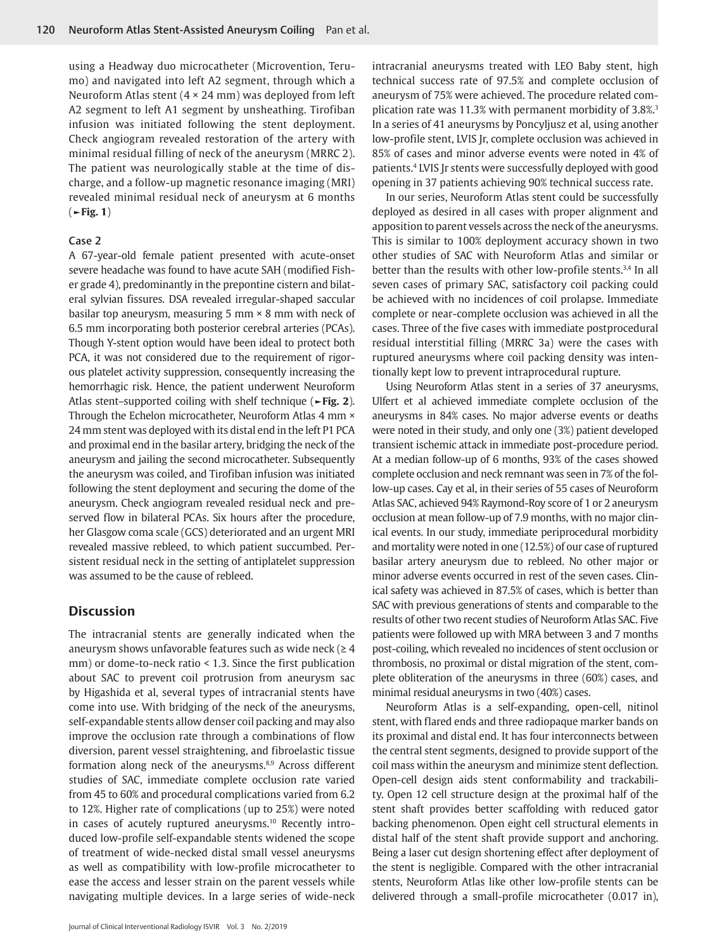using a Headway duo microcatheter (Microvention, Terumo) and navigated into left A2 segment, through which a Neuroform Atlas stent (4 × 24 mm) was deployed from left A2 segment to left A1 segment by unsheathing. Tirofiban infusion was initiated following the stent deployment. Check angiogram revealed restoration of the artery with minimal residual filling of neck of the aneurysm (MRRC 2). The patient was neurologically stable at the time of discharge, and a follow-up magnetic resonance imaging (MRI) revealed minimal residual neck of aneurysm at 6 months (**[►Fig. 1](#page-2-0)**)

#### Case 2

A 67-year-old female patient presented with acute-onset severe headache was found to have acute SAH (modified Fisher grade 4), predominantly in the prepontine cistern and bilateral sylvian fissures. DSA revealed irregular-shaped saccular basilar top aneurysm, measuring 5 mm  $\times$  8 mm with neck of 6.5 mm incorporating both posterior cerebral arteries (PCAs). Though Y-stent option would have been ideal to protect both PCA, it was not considered due to the requirement of rigorous platelet activity suppression, consequently increasing the hemorrhagic risk. Hence, the patient underwent Neuroform Atlas stent–supported coiling with shelf technique (**[►Fig. 2](#page-2-1)**). Through the Echelon microcatheter, Neuroform Atlas 4 mm × 24 mm stent was deployed with its distal end in the left P1 PCA and proximal end in the basilar artery, bridging the neck of the aneurysm and jailing the second microcatheter. Subsequently the aneurysm was coiled, and Tirofiban infusion was initiated following the stent deployment and securing the dome of the aneurysm. Check angiogram revealed residual neck and preserved flow in bilateral PCAs. Six hours after the procedure, her Glasgow coma scale (GCS) deteriorated and an urgent MRI revealed massive rebleed, to which patient succumbed. Persistent residual neck in the setting of antiplatelet suppression was assumed to be the cause of rebleed.

## **Discussion**

<span id="page-3-2"></span><span id="page-3-0"></span>The intracranial stents are generally indicated when the aneurysm shows unfavorable features such as wide neck ( $\geq 4$ mm) or dome-to-neck ratio < 1.3. Since the first publication about SAC to prevent coil protrusion from aneurysm sac by Higashida et al, several types of intracranial stents have come into use. With bridging of the neck of the aneurysms, self-expandable stents allow denser coil packing and may also improve the occlusion rate through a combinations of flow diversion, parent vessel straightening, and fibroelastic tissue formation along neck of the aneurysms.<sup>8[,9](#page-4-7)</sup> Across different studies of SAC, immediate complete occlusion rate varied from 45 to 60% and procedural complications varied from 6.2 to 12%. Higher rate of complications (up to 25%) were noted in cases of acutely ruptured aneurysms.<sup>10</sup> Recently introduced low-profile self-expandable stents widened the scope of treatment of wide-necked distal small vessel aneurysms as well as compatibility with low-profile microcatheter to ease the access and lesser strain on the parent vessels while navigating multiple devices. In a large series of wide-neck

intracranial aneurysms treated with LEO Baby stent, high technical success rate of 97.5% and complete occlusion of aneurysm of 75% were achieved. The procedure related complication rate was 11.3% with permanent morbidity of 3.8%.[3](#page-4-2) In a series of 41 aneurysms by Poncyljusz et al, using another low-profile stent, LVIS Jr, complete occlusion was achieved in 85% of cases and minor adverse events were noted in 4% of patients.[4](#page-4-3) LVIS Jr stents were successfully deployed with good opening in 37 patients achieving 90% technical success rate.

In our series, Neuroform Atlas stent could be successfully deployed as desired in all cases with proper alignment and apposition to parent vessels across the neck of the aneurysms. This is similar to 100% deployment accuracy shown in two other studies of SAC with Neuroform Atlas and similar or better than the results with other low-profile stents.<sup>3[,4](#page-4-3)</sup> In all seven cases of primary SAC, satisfactory coil packing could be achieved with no incidences of coil prolapse. Immediate complete or near-complete occlusion was achieved in all the cases. Three of the five cases with immediate postprocedural residual interstitial filling (MRRC 3a) were the cases with ruptured aneurysms where coil packing density was intentionally kept low to prevent intraprocedural rupture.

Using Neuroform Atlas stent in a series of 37 aneurysms, Ulfert et al achieved immediate complete occlusion of the aneurysms in 84% cases. No major adverse events or deaths were noted in their study, and only one (3%) patient developed transient ischemic attack in immediate post-procedure period. At a median follow-up of 6 months, 93% of the cases showed complete occlusion and neck remnant was seen in 7% of the follow-up cases. Cay et al, in their series of 55 cases of Neuroform Atlas SAC, achieved 94% Raymond-Roy score of 1 or 2 aneurysm occlusion at mean follow-up of 7.9 months, with no major clinical events. In our study, immediate periprocedural morbidity and mortality were noted in one (12.5%) of our case of ruptured basilar artery aneurysm due to rebleed. No other major or minor adverse events occurred in rest of the seven cases. Clinical safety was achieved in 87.5% of cases, which is better than SAC with previous generations of stents and comparable to the results of other two recent studies of Neuroform Atlas SAC. Five patients were followed up with MRA between 3 and 7 months post-coiling, which revealed no incidences of stent occlusion or thrombosis, no proximal or distal migration of the stent, complete obliteration of the aneurysms in three (60%) cases, and minimal residual aneurysms in two (40%) cases.

<span id="page-3-1"></span>Neuroform Atlas is a self-expanding, open-cell, nitinol stent, with flared ends and three radiopaque marker bands on its proximal and distal end. It has four interconnects between the central stent segments, designed to provide support of the coil mass within the aneurysm and minimize stent deflection. Open-cell design aids stent conformability and trackability. Open 12 cell structure design at the proximal half of the stent shaft provides better scaffolding with reduced gator backing phenomenon. Open eight cell structural elements in distal half of the stent shaft provide support and anchoring. Being a laser cut design shortening effect after deployment of the stent is negligible. Compared with the other intracranial stents, Neuroform Atlas like other low-profile stents can be delivered through a small-profile microcatheter (0.017 in),